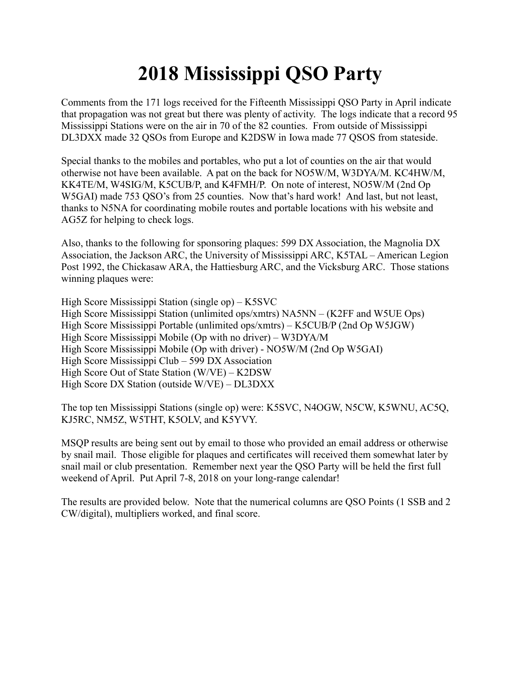## **2018 Mississippi QSO Party**

Comments from the 171 logs received for the Fifteenth Mississippi QSO Party in April indicate that propagation was not great but there was plenty of activity. The logs indicate that a record 95 Mississippi Stations were on the air in 70 of the 82 counties. From outside of Mississippi DL3DXX made 32 QSOs from Europe and K2DSW in Iowa made 77 QSOS from stateside.

Special thanks to the mobiles and portables, who put a lot of counties on the air that would otherwise not have been available. A pat on the back for NO5W/M, W3DYA/M. KC4HW/M, KK4TE/M, W4SIG/M, K5CUB/P, and K4FMH/P. On note of interest, NO5W/M (2nd Op W5GAI) made 753 QSO's from 25 counties. Now that's hard work! And last, but not least, thanks to N5NA for coordinating mobile routes and portable locations with his website and AG5Z for helping to check logs.

Also, thanks to the following for sponsoring plaques: 599 DX Association, the Magnolia DX Association, the Jackson ARC, the University of Mississippi ARC, K5TAL – American Legion Post 1992, the Chickasaw ARA, the Hattiesburg ARC, and the Vicksburg ARC. Those stations winning plaques were:

High Score Mississippi Station (single op) – K5SVC High Score Mississippi Station (unlimited ops/xmtrs) NA5NN – (K2FF and W5UE Ops) High Score Mississippi Portable (unlimited ops/xmtrs) – K5CUB/P (2nd Op W5JGW) High Score Mississippi Mobile (Op with no driver) – W3DYA/M High Score Mississippi Mobile (Op with driver) - NO5W/M (2nd Op W5GAI) High Score Mississippi Club – 599 DX Association High Score Out of State Station (W/VE) – K2DSW High Score DX Station (outside W/VE) – DL3DXX

The top ten Mississippi Stations (single op) were: K5SVC, N4OGW, N5CW, K5WNU, AC5Q, KJ5RC, NM5Z, W5THT, K5OLV, and K5YVY.

MSQP results are being sent out by email to those who provided an email address or otherwise by snail mail. Those eligible for plaques and certificates will received them somewhat later by snail mail or club presentation. Remember next year the QSO Party will be held the first full weekend of April. Put April 7-8, 2018 on your long-range calendar!

The results are provided below. Note that the numerical columns are QSO Points (1 SSB and 2 CW/digital), multipliers worked, and final score.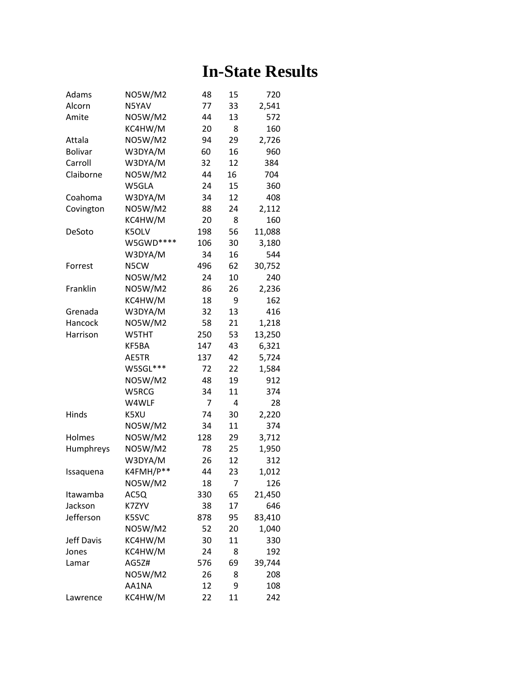## **In-State Results**

| Adams             | <b>NO5W/M2</b> | 48  | 15 | 720    |
|-------------------|----------------|-----|----|--------|
| Alcorn            | N5YAV          | 77  | 33 | 2,541  |
| Amite             | <b>NO5W/M2</b> | 44  | 13 | 572    |
|                   | KC4HW/M        | 20  | 8  | 160    |
| Attala            | <b>NO5W/M2</b> | 94  | 29 | 2,726  |
| <b>Bolivar</b>    | W3DYA/M        | 60  | 16 | 960    |
| Carroll           | W3DYA/M        | 32  | 12 | 384    |
| Claiborne         | <b>NO5W/M2</b> | 44  | 16 | 704    |
|                   | W5GLA          | 24  | 15 | 360    |
| Coahoma           | W3DYA/M        | 34  | 12 | 408    |
| Covington         | <b>NO5W/M2</b> | 88  | 24 | 2,112  |
|                   | KC4HW/M        | 20  | 8  | 160    |
| DeSoto            | K5OLV          | 198 | 56 | 11,088 |
|                   | W5GWD****      | 106 | 30 | 3,180  |
|                   | W3DYA/M        | 34  | 16 | 544    |
| Forrest           | N5CW           | 496 | 62 | 30,752 |
|                   | <b>NO5W/M2</b> | 24  | 10 | 240    |
| Franklin          | <b>NO5W/M2</b> | 86  | 26 | 2,236  |
|                   | KC4HW/M        | 18  | 9  | 162    |
| Grenada           | W3DYA/M        | 32  | 13 | 416    |
| Hancock           | <b>NO5W/M2</b> | 58  | 21 | 1,218  |
| Harrison          | W5THT          | 250 | 53 | 13,250 |
|                   | KF5BA          | 147 | 43 | 6,321  |
|                   | AE5TR          | 137 | 42 | 5,724  |
|                   | W5SGL***       | 72  | 22 | 1,584  |
|                   | NO5W/M2        | 48  | 19 | 912    |
|                   | W5RCG          | 34  | 11 | 374    |
|                   | W4WLF          | 7   | 4  | 28     |
| Hinds             | K5XU           | 74  | 30 | 2,220  |
|                   | <b>NO5W/M2</b> | 34  | 11 | 374    |
| Holmes            | <b>NO5W/M2</b> | 128 | 29 | 3,712  |
| Humphreys         | <b>NO5W/M2</b> | 78  | 25 | 1,950  |
|                   | W3DYA/M        | 26  | 12 | 312    |
| Issaquena         | K4FMH/P**      | 44  | 23 | 1,012  |
|                   | <b>NO5W/M2</b> | 18  | 7  | 126    |
| Itawamba          | AC5Q           | 330 | 65 | 21,450 |
| Jackson           | K7ZYV          | 38  | 17 | 646    |
| Jefferson         | K5SVC          | 878 | 95 | 83,410 |
|                   | <b>NO5W/M2</b> | 52  | 20 | 1,040  |
| <b>Jeff Davis</b> | KC4HW/M        | 30  | 11 | 330    |
| Jones             | KC4HW/M        | 24  | 8  | 192    |
| Lamar             | AG5Z#          | 576 | 69 | 39,744 |
|                   | <b>NO5W/M2</b> | 26  | 8  | 208    |
|                   | AA1NA          | 12  | 9  | 108    |
| Lawrence          | KC4HW/M        | 22  | 11 | 242    |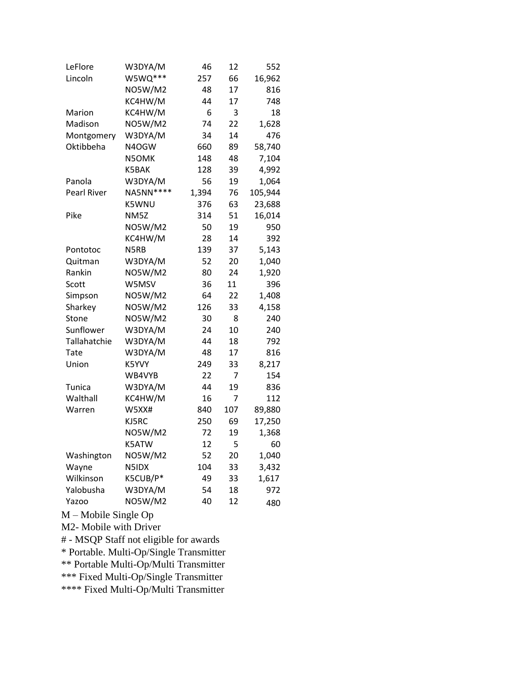| LeFlore            | W3DYA/M           | 46    | 12  | 552     |
|--------------------|-------------------|-------|-----|---------|
| Lincoln            | W5WQ***           | 257   | 66  | 16,962  |
|                    | <b>NO5W/M2</b>    | 48    | 17  | 816     |
|                    | KC4HW/M           | 44    | 17  | 748     |
| Marion             | KC4HW/M           | 6     | 3   | 18      |
| Madison            | <b>NO5W/M2</b>    | 74    | 22  | 1,628   |
| Montgomery         | W3DYA/M           | 34    | 14  | 476     |
| Oktibbeha          | N4OGW             | 660   | 89  | 58,740  |
|                    | N5OMK             | 148   | 48  | 7,104   |
|                    | K5BAK             | 128   | 39  | 4,992   |
| Panola             | W3DYA/M           | 56    | 19  | 1,064   |
| <b>Pearl River</b> | NA5NN****         | 1,394 | 76  | 105,944 |
|                    | K5WNU             | 376   | 63  | 23,688  |
| Pike               | NM <sub>5</sub> Z | 314   | 51  | 16,014  |
|                    | <b>NO5W/M2</b>    | 50    | 19  | 950     |
|                    | KC4HW/M           | 28    | 14  | 392     |
| Pontotoc           | N5RB              | 139   | 37  | 5,143   |
| Quitman            | W3DYA/M           | 52    | 20  | 1,040   |
| Rankin             | <b>NO5W/M2</b>    | 80    | 24  | 1,920   |
| Scott              | W5MSV             | 36    | 11  | 396     |
| Simpson            | <b>NO5W/M2</b>    | 64    | 22  | 1,408   |
| Sharkey            | <b>NO5W/M2</b>    | 126   | 33  | 4,158   |
| Stone              | <b>NO5W/M2</b>    | 30    | 8   | 240     |
| Sunflower          | W3DYA/M           | 24    | 10  | 240     |
| Tallahatchie       | W3DYA/M           | 44    | 18  | 792     |
| Tate               | W3DYA/M           | 48    | 17  | 816     |
| Union              | K5YVY             | 249   | 33  | 8,217   |
|                    | WB4VYB            | 22    | 7   | 154     |
| Tunica             | W3DYA/M           | 44    | 19  | 836     |
| Walthall           | KC4HW/M           | 16    | 7   | 112     |
| Warren             | W5XX#             | 840   | 107 | 89,880  |
|                    | KJ5RC             | 250   | 69  | 17,250  |
|                    | <b>NO5W/M2</b>    | 72    | 19  | 1,368   |
|                    | K5ATW             | 12    | 5   | 60      |
| Washington         | <b>NO5W/M2</b>    | 52    | 20  | 1,040   |
| Wayne              | N5IDX             | 104   | 33  | 3,432   |
| Wilkinson          | K5CUB/P*          | 49    | 33  | 1,617   |
| Yalobusha          | W3DYA/M           | 54    | 18  | 972     |
| Yazoo              | <b>NO5W/M2</b>    | 40    | 12  | 480     |

M – Mobile Single Op

M2- Mobile with Driver

# - MSQP Staff not eligible for awards

\* Portable. Multi-Op/Single Transmitter

\*\* Portable Multi-Op/Multi Transmitter

\*\*\* Fixed Multi-Op/Single Transmitter

\*\*\*\* Fixed Multi-Op/Multi Transmitter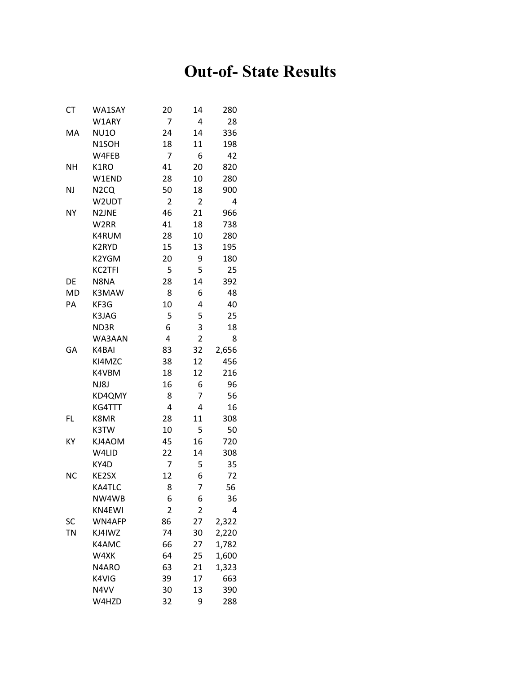## **Out-of- State Results**

| СT        | WA1SAY             | 20             | 14             | 280   |
|-----------|--------------------|----------------|----------------|-------|
|           | W1ARY              | 7              | 4              | 28    |
| МA        | <b>NU10</b>        | 24             | 14             | 336   |
|           | N <sub>1</sub> SOH | 18             | 11             | 198   |
|           | W4FEB              | 7              | 6              | 42    |
| <b>NH</b> | K1RO               | 41             | 20             | 820   |
|           | W1END              | 28             | 10             | 280   |
| <b>NJ</b> | N <sub>2</sub> CQ  | 50             | 18             | 900   |
|           | W2UDT              | $\overline{2}$ | 2              | 4     |
| <b>NY</b> | N2JNE              | 46             | 21             | 966   |
|           | W2RR               | 41             | 18             | 738   |
|           | K4RUM              | 28             | 10             | 280   |
|           | K2RYD              | 15             | 13             | 195   |
|           | K2YGM              | 20             | 9              | 180   |
|           | <b>KC2TFI</b>      | 5              | 5              | 25    |
| DE        | N8NA               | 28             | 14             | 392   |
| <b>MD</b> | K3MAW              | 8              | 6              | 48    |
| PA        | KF3G               | 10             | 4              | 40    |
|           | K3JAG              | 5              | 5              | 25    |
|           | ND3R               | 6              | 3              | 18    |
|           | WA3AAN             | 4              | $\overline{2}$ | 8     |
| GA        | K4BAI              | 83             | 32             | 2,656 |
|           | KI4MZC             | 38             | 12             | 456   |
|           | K4VBM              | 18             | 12             | 216   |
|           | NJ8J               | 16             | 6              | 96    |
|           | KD4QMY             | 8              | 7              | 56    |
|           | KG4TTT             | 4              | 4              | 16    |
| FL        | K8MR               | 28             | 11             | 308   |
|           | K3TW               | 10             | 5              | 50    |
| ΚY        | KJ4AOM             | 45             | 16             | 720   |
|           | W4LID              | 22             | 14             | 308   |
|           | KY4D               | 7              | 5              | 35    |
| <b>NC</b> | KE2SX              | 12             | 6              | 72    |
|           | KA4TLC             | 8              | $\overline{7}$ | 56    |
|           | NW4WB              | 6              | 6              | 36    |
|           | KN4EWI             | $\overline{2}$ | 2              | 4     |
| SC        | WN4AFP             | 86             | 27             | 2,322 |
| <b>TN</b> | KJ4IWZ             | 74             | 30             | 2,220 |
|           | K4AMC              | 66             | 27             | 1,782 |
|           | W4XK               | 64             | 25             | 1,600 |
|           | N4ARO              | 63             | 21             | 1,323 |
|           | K4VIG              | 39             | 17             | 663   |
|           | N4VV               | 30             | 13             | 390   |
|           | W4HZD              | 32             | 9              | 288   |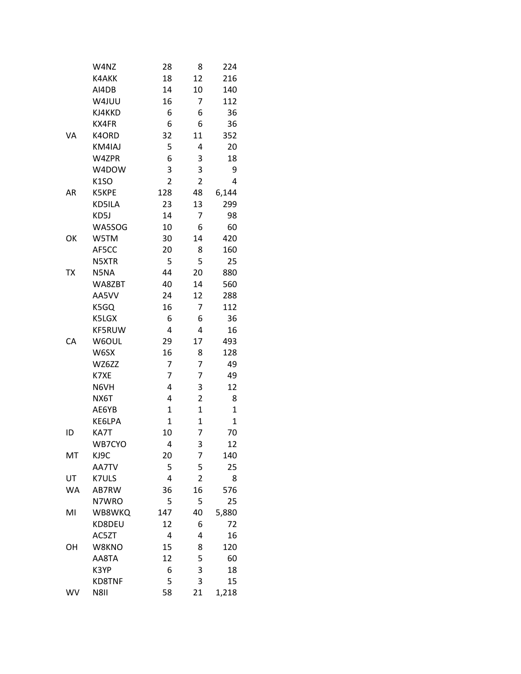|           | W4NZ              | 28             | 8                       | 224          |
|-----------|-------------------|----------------|-------------------------|--------------|
|           | K4AKK             | 18             | 12                      | 216          |
|           | AI4DB             | 14             | 10                      | 140          |
|           | W4JUU             | 16             | 7                       | 112          |
|           | KJ4KKD            | 6              | 6                       | 36           |
|           | KX4FR             | 6              | 6                       | 36           |
| VA        | K4ORD             | 32             | 11                      | 352          |
|           | KM4IAJ            | 5              | 4                       | 20           |
|           | W4ZPR             | 6              | 3                       | 18           |
|           | W4DOW             | 3              | 3                       | 9            |
|           | K <sub>1</sub> SO | $\overline{2}$ | $\overline{2}$          | 4            |
| AR        | K5KPE             | 128            | 48                      | 6,144        |
|           | KD5ILA            | 23             | 13                      | 299          |
|           | KD5J              | 14             | 7                       | 98           |
|           | WA5SOG            | 10             | 6                       | 60           |
| OK        | W5TM              | 30             | 14                      | 420          |
|           | AF5CC             | 20             | 8                       | 160          |
|           | N5XTR             | 5              | 5                       | 25           |
| тх        | N5NA              | 44             | 20                      | 880          |
|           | WA8ZBT            | 40             | 14                      | 560          |
|           | AA5VV             | 24             | 12                      | 288          |
|           | K5GQ              | 16             | 7                       | 112          |
|           | K5LGX             | 6              | 6                       | 36           |
|           | KF5RUW            | 4              | 4                       | 16           |
| CA        | W6OUL             | 29             | 17                      | 493          |
|           | W6SX              | 16             | 8                       | 128          |
|           | WZ6ZZ             | 7              | 7                       | 49           |
|           | K7XE              | 7              | 7                       | 49           |
|           | N6VH              | 4              | 3                       | 12           |
|           | NX6T              | 4              | $\overline{\mathbf{c}}$ | 8            |
|           | AE6YB             | $\mathbf 1$    | 1                       | $\mathbf{1}$ |
|           | KE6LPA            | $\mathbf 1$    | $\mathbf 1$             | $\mathbf{1}$ |
| ID        | KA7T              | 10             | 7                       | 70           |
|           | WB7CYO            | 4              | 3                       | 12           |
| MT        | KJ9C              | 20             | 7                       | 140          |
|           | AA7TV             | 5              | 5                       | 25           |
| UT        | K7ULS             | 4              | $\overline{2}$          | 8            |
| <b>WA</b> | AB7RW             | 36             | 16                      | 576          |
|           | N7WRO             | 5              | 5                       | 25           |
| MI        | WB8WKQ            | 147            | 40                      | 5,880        |
|           | KD8DEU            | 12             | 6                       | 72           |
|           | AC5ZT             | 4              | 4                       | 16           |
| OH        | W8KNO             | 15             | 8                       | 120          |
|           | AA8TA             | 12             | 5                       | 60           |
|           | K3YP              | 6              | 3                       | 18           |
|           | <b>KD8TNF</b>     | 5              | 3                       | 15           |
| WV        | N8II              | 58             | 21                      | 1,218        |